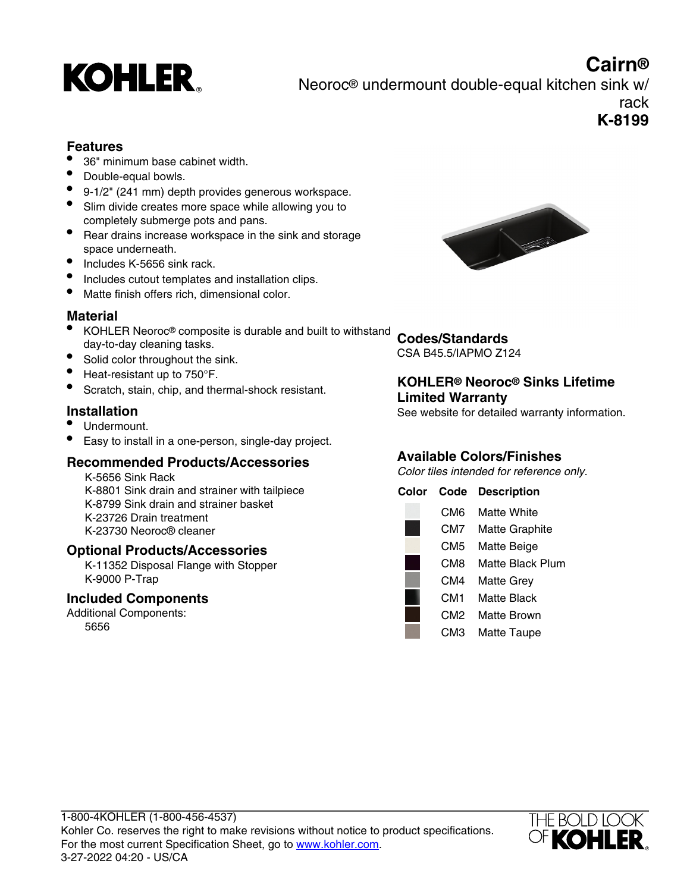

**Cairn®** Neoroc® undermount double-equal kitchen sink w/ rack **K-8199**

## **Features**

- 36" minimum base cabinet width.
- Double-equal bowls.
- 9-1/2" (241 mm) depth provides generous workspace.
- Slim divide creates more space while allowing you to completely submerge pots and pans.
- Rear drains increase workspace in the sink and storage space underneath.
- Includes K-5656 sink rack.
- Includes cutout templates and installation clips.
- Matte finish offers rich, dimensional color.

### **Material**

- KOHLER Neoroc® composite is durable and built to withstand day-to-day cleaning tasks.
- Solid color throughout the sink.
- Heat-resistant up to 750°F.
- Scratch, stain, chip, and thermal-shock resistant.

### **Installation**

- Undermount.
- Easy to install in a one-person, single-day project.

## **Recommended Products/Accessories**

K-5656 Sink Rack K-8801 Sink drain and strainer with tailpiece K-8799 Sink drain and strainer basket K-23726 Drain treatment K-23730 Neoroc® cleaner

#### **Optional Products/Accessories**

K-11352 Disposal Flange with Stopper K-9000 P-Trap

### **Included Components**

Additional Components: 5656



# **Codes/Standards**

CSA B45.5/IAPMO Z124

## **KOHLER® Neoroc® Sinks Lifetime Limited Warranty**

See website for detailed warranty information.

## **Available Colors/Finishes**

Color tiles intended for reference only.

| Color | Code            | <b>Description</b>    |
|-------|-----------------|-----------------------|
|       | CM6             | Matte White           |
|       | CM7             | <b>Matte Graphite</b> |
|       | CM5             | Matte Beige           |
|       | CM8             | Matte Black Plum      |
|       | CM4             | <b>Matte Grey</b>     |
|       | CM1             | Matte Black           |
|       | CM <sub>2</sub> | Matte Brown           |
|       | СМЗ             | Matte Taupe           |